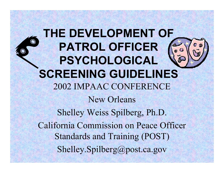**THE DEVELOPMENT OF PATROL OFFICER PSYCHOLOGICAL SCREENING GUIDELINES** 2002 IMPAAC CONFERENCE New Orleans Shelley Weiss Spilberg, Ph.D. California Commission on Peace Officer Standards and Training (POST) Shelley.Spilberg@post.ca.gov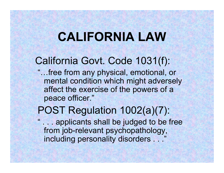# **CALIFORNIA LAW**

### California Govt. Code 1031(f):

"…free from any physical, emotional, or mental condition which might adversely affect the exercise of the powers of a peace officer."

#### POST Regulation 1002(a)(7):

"

... applicants shall be judged to be free from job-relevant psychopathology, including personality disorders . . ."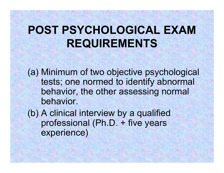# **POST PSYCHOLOGICAL EXAM REQUIREMENTS**

(a) Minimum of two objective psychological tests; one normed to identify abnormal behavior, the other assessing normal behavior.

(b) A clinical interview by a qualified professional (Ph.D. + five years experience)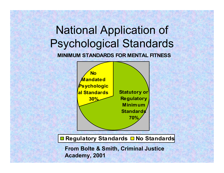# National Application of Psychological Standards

**MINIMUM STANDARDS FOR MENTAL FITNESS**



**Regulatory Standards**  $\Box$  **No Standards** 

**From Bolte & Smith, Criminal Justice Academy, 2001**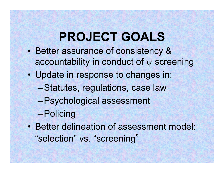# **PROJECT GOALS**

- $\bullet$  Better assurance of consistency & accountability in conduct of ψ screening
- • Update in response to changes in:
	- –Statutes, regulations, case law
	- –Psychological assessment
	- –Policing
- • Better delineation of assessment model: "selection" vs. "screening "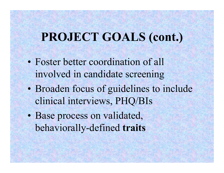## **PROJECT GOALS (cont.)**

- •• Foster better coordination of all involved in candidate screening
- $\bullet$  Broaden focus of guidelines to include clinical interviews, PHQ/BIs
- • Base process on validated, behaviorally-defined **traits**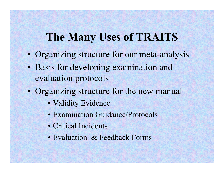### **The Many Uses of TRAITS**

- $\bullet$ Organizing structure for our meta-analysis
- • Basis for developing examination and evaluation protocols
- •• Organizing structure for the new manual
	- Validity Evidence
	- Examination Guidance/Protocols
	- Critical Incidents
	- Evaluation & Feedback Forms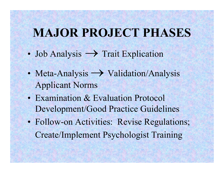# **MAJOR PROJECT PHASES**

- $\bullet$ • Job Analysis  $\rightarrow$  Trait Explication
- •• Meta-Analysis  $\rightarrow$  Validation/Analysis Applicant Norms
- •• Examination & Evaluation Protocol Development/Good Practice Guidelines
- • Follow-on Activities: Revise Regulations; Create/Implement Psychologist Training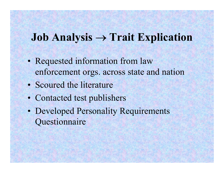### **Job Analysis** <sup>→</sup> **Trait Explication**

- Requested information from law enforcement orgs. across state and nation
- Scoured the literature
- Contacted test publishers
- Developed Personality Requirements **Questionnaire**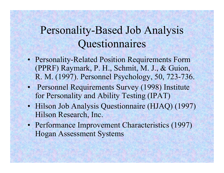## Personality-Based Job Analysis Questionnaires

- Personality-Related Position Requirements Form (PPRF) Raymark, P. H., Schmit, M. J., & Guion, R. M. (1997). Personnel Psychology, 50, 723-736.
- Personnel Requirements Survey (1998) Institute for Personality and Ability Testing (IPAT)
- Hilson Job Analysis Questionnaire (HJAQ) (1997) Hilson Research, Inc.
- Performance Improvement Characteristics (1997) Hogan Assessment Systems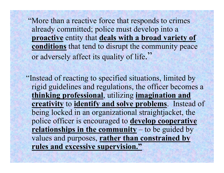"More than a reactive force that responds to crimes already committed; police must develop into a **proactive** entity that **deals with a broad variety of conditions** that tend to disrupt the community peace or adversely affect its quality of life."

"Instead of reacting to specified situations, limited by rigid guidelines and regulations, the officer becomes a **thinking professional**, utilizing **imagination and creativity** to **identify and solve problems**. Instead of being locked in an organizational straightjacket, the police officer is encouraged to **develop cooperative relationships in the community** – to be guided by values and purposes, **rather than constrained by rules and excessive supervision."**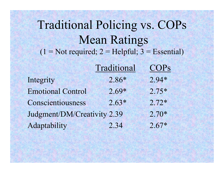Traditional Policing vs. COPs Mean Ratings  $(1 = Not required; 2 = Helpful; 3 = Essential)$ 

|                             | Traditional | <b>COPs</b> |
|-----------------------------|-------------|-------------|
| Integrity                   | $2.86*$     | $2.94*$     |
| <b>Emotional Control</b>    | $2.69*$     | $2.75*$     |
| Conscientiousness           | $2.63*$     | $2.72*$     |
| Judgment/DM/Creativity 2.39 |             | $2.70*$     |
| Adaptability                | 2.34        | $2.67*$     |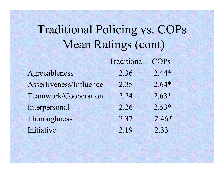# Traditional Policing vs. COPs Mean Ratings (cont)

|                         | Traditional | <b>COPS</b> |
|-------------------------|-------------|-------------|
| Agreeableness           | 2.36        | $2.44*$     |
| Assertiveness/Influence | 2.35        | $2.64*$     |
| Teamwork/Cooperation    | 2.24        | $2.63*$     |
| Interpersonal           | 2.26        | $2.53*$     |
| Thoroughness            | 2.37        | $2.46*$     |
| Initiative              | 2.19        | 2.33        |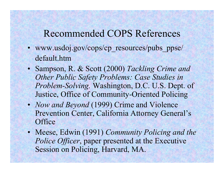#### Recommended COPS References

- www.usdoj.gov/cops/cp\_resources/pubs\_ppse/ default.htm
- Sampson, R. & Scott (2000) *Tackling Crime and Other Public Safety Problems: Case Studies in Problem-Solving.* Washington, D.C. U.S. Dept. of Justice, Office of Community-Oriented Policing
- *Now and Beyond* (1999) Crime and Violence Prevention Center, California Attorney General's **Office**
- Meese, Edwin (1991) *Community Policing and the Police Officer*, paper presented at the Executive Session on Policing, Harvard, MA.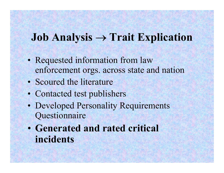### **Job Analysis** <sup>→</sup> **Trait Explication**

- Requested information from law enforcement orgs. across state and nation
- Scoured the literature
- Contacted test publishers
- Developed Personality Requirements Questionnaire
- $\bullet$  **Generated and rated critical incidents**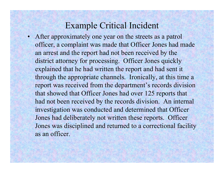#### Example Critical Incident

• After approximately one year on the streets as a patrol officer, a complaint was made that Officer Jones had made an arrest and the report had not been received by the district attorney for processing. Officer Jones quickly explained that he had written the report and had sent it through the appropriate channels. Ironically, at this time a report was received from the department's records division that showed that Officer Jones had over 125 reports that had not been received by the records division. An internal investigation was conducted and determined that Officer Jones had deliberately not written these reports. Officer Jones was disciplined and returned to a correctional facility as an officer.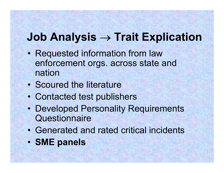## **Job Analysis → Trait Explication**

- • Requested information from law enforcement orgs. across state and nation
- Scoured the literature
- •Contacted test publishers
- • Developed Personality Requirements **Questionnaire**
- •Generated and rated critical incidents
- •**SME panels**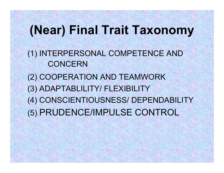# **(Near) Final Trait Taxonomy**

(1) INTERPERSONAL COMPETENCE AND **CONCERN** 

(2) COOPERATION AND TEAMWORK

(3) ADAPTABLILITY/ FLEXIBILITY

(4) CONSCIENTIOUSNESS/ DEPENDABILITY

(5) PRUDENCE/IMPULSE CONTROL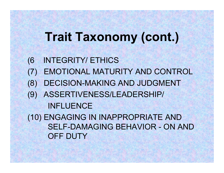# **Trait Taxonomy (cont.)**

- (6 INTEGRITY/ ETHICS
- (7) EMOTIONAL MATURITY AND CONTROL
- (8) DECISION-MAKING AND JUDGMENT
- (9) ASSERTIVENESS/LEADERSHIP/
- - INFLUENCE

(10) ENGAGING IN INAPPROPRIATE AND SELF-DAMAGING BEHAVIOR - ON AND OFF DUTY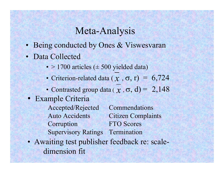#### Meta-Analysis

- Being conducted by Ones & Viswesvaran
- Data Collected
	- $>$  1700 articles ( $\pm$  500 yielded data)
	- •• Criterion-related data  $(x, \sigma, r) = 6,724$
	- •• Contrasted group data ( $\chi$ ,  $\sigma$ , d) = 2,148
- Example Criteria

Accepted/Rejected Commendations Auto Accidents Citizen Complaints Corruption FTO Scores Supervisory Ratings Termination

• Awaiting test publisher feedback re: scaledimension fit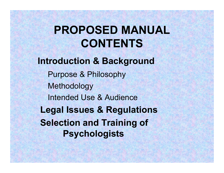# **PROPOSED MANUAL CONTENTS**

**Introduction & Background** Purpose & Philosophy Methodology Intended Use & Audience**Legal Issues & Regulations Selection and Training of Psychologists**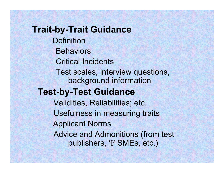**Trait-by-Trait Guidance Definition Behaviors** Critical IncidentsTest scales, interview questions, background information **Test-by-Test Guidance** Validities, Reliabilities; etc. Usefulness in measuring traits Applicant Norms Advice and Admonitions (from test publishers, Ψ SMEs, etc.)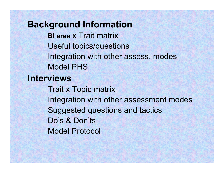**Background Information BI area** x Trait matrixUseful topics/questions Integration with other assess. modes Model PHS**Interviews**Trait x Topic matrix Integration with other assessment modes Suggested questions and tactics Do's & Don'tsModel Protocol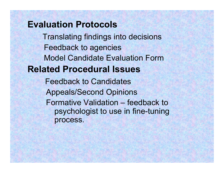#### **Evaluation Protocols**

Translating findings into decisions Feedback to agencies Model Candidate Evaluation Form**Related Procedural Issues**

Feedback to CandidatesAppeals/Second Opinions Formative Validation – feedback to psychologist to use in fine-tuning process.